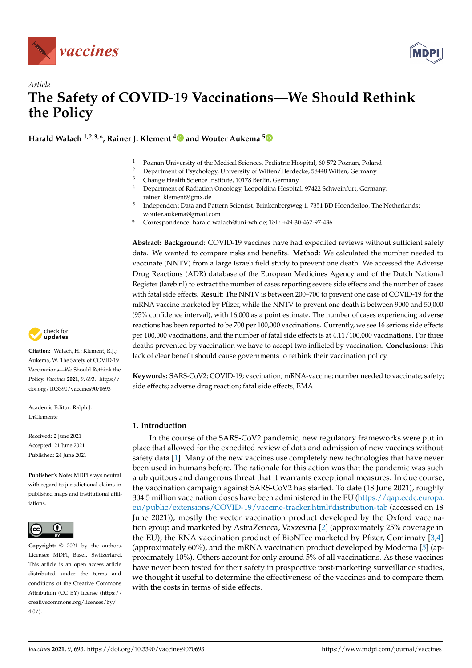



# *Article* **The Safety of COVID-19 Vaccinations—We Should Rethink the Policy**

**Harald Walach 1,2,3,\*, Rainer J. Klement [4](https://orcid.org/0000-0003-1401-4270) and Wouter Aukema [5](https://orcid.org/0000-0001-7650-0093)**

- <sup>1</sup> Poznan University of the Medical Sciences, Pediatric Hospital, 60-572 Poznan, Poland<sup>2</sup> Department of Paushalogy University of Witten (Hardcales, 58448 Witten Carmony
- <sup>2</sup> Department of Psychology, University of Witten/Herdecke, 58448 Witten, Germany
- <sup>3</sup> Change Health Science Institute, 10178 Berlin, Germany
- <sup>4</sup> Department of Radiation Oncology, Leopoldina Hospital, 97422 Schweinfurt, Germany; rainer\_klement@gmx.de
- 5 Independent Data and Pattern Scientist, Brinkenbergweg 1, 7351 BD Hoenderloo, The Netherlands; wouter.aukema@gmail.com
- **\*** Correspondence: harald.walach@uni-wh.de; Tel.: +49-30-467-97-436

**Abstract: Background**: COVID-19 vaccines have had expedited reviews without sufficient safety data. We wanted to compare risks and benefits. **Method**: We calculated the number needed to vaccinate (NNTV) from a large Israeli field study to prevent one death. We accessed the Adverse Drug Reactions (ADR) database of the European Medicines Agency and of the Dutch National Register (lareb.nl) to extract the number of cases reporting severe side effects and the number of cases with fatal side effects. **Result**: The NNTV is between 200–700 to prevent one case of COVID-19 for the mRNA vaccine marketed by Pfizer, while the NNTV to prevent one death is between 9000 and 50,000 (95% confidence interval), with 16,000 as a point estimate. The number of cases experiencing adverse reactions has been reported to be 700 per 100,000 vaccinations. Currently, we see 16 serious side effects per 100,000 vaccinations, and the number of fatal side effects is at 4.11/100,000 vaccinations. For three deaths prevented by vaccination we have to accept two inflicted by vaccination. **Conclusions**: This lack of clear benefit should cause governments to rethink their vaccination policy.

**Keywords:** SARS-CoV2; COVID-19; vaccination; mRNA-vaccine; number needed to vaccinate; safety; side effects; adverse drug reaction; fatal side effects; EMA

# **1. Introduction**

In the course of the SARS-CoV2 pandemic, new regulatory frameworks were put in place that allowed for the expedited review of data and admission of new vaccines without safety data [\[1\]](#page-6-0). Many of the new vaccines use completely new technologies that have never been used in humans before. The rationale for this action was that the pandemic was such a ubiquitous and dangerous threat that it warrants exceptional measures. In due course, the vaccination campaign against SARS-CoV2 has started. To date (18 June 2021), roughly 304.5 million vaccination doses have been administered in the EU [\(https://qap.ecdc.europa.](https://qap.ecdc.europa.eu/public/extensions/COVID-19/vaccine-tracker.html#distribution-tab) [eu/public/extensions/COVID-19/vaccine-tracker.html#distribution-tab](https://qap.ecdc.europa.eu/public/extensions/COVID-19/vaccine-tracker.html#distribution-tab) (accessed on 18 June 2021)), mostly the vector vaccination product developed by the Oxford vaccination group and marketed by AstraZeneca, Vaxzevria [\[2\]](#page-6-1) (approximately 25% coverage in the EU), the RNA vaccination product of BioNTec marketed by Pfizer, Comirnaty [\[3](#page-6-2)[,4\]](#page-6-3) (approximately 60%), and the mRNA vaccination product developed by Moderna [\[5\]](#page-6-4) (approximately 10%). Others account for only around 5% of all vaccinations. As these vaccines have never been tested for their safety in prospective post-marketing surveillance studies, we thought it useful to determine the effectiveness of the vaccines and to compare them with the costs in terms of side effects.



**Citation:** Walach, H.; Klement, R.J.; Aukema, W. The Safety of COVID-19 Vaccinations—We Should Rethink the Policy. *Vaccines* **2021**, *9*, 693. [https://](https://doi.org/10.3390/vaccines9070693) [doi.org/10.3390/vaccines9070693](https://doi.org/10.3390/vaccines9070693)

Academic Editor: Ralph J. DiClemente

Received: 2 June 2021 Accepted: 21 June 2021 Published: 24 June 2021

**Publisher's Note:** MDPI stays neutral with regard to jurisdictional claims in published maps and institutional affiliations.



**Copyright:** © 2021 by the authors. Licensee MDPI, Basel, Switzerland. This article is an open access article distributed under the terms and conditions of the Creative Commons Attribution (CC BY) license (https:/[/](https://creativecommons.org/licenses/by/4.0/) [creativecommons.org/licenses/by/](https://creativecommons.org/licenses/by/4.0/)  $4.0/$ ).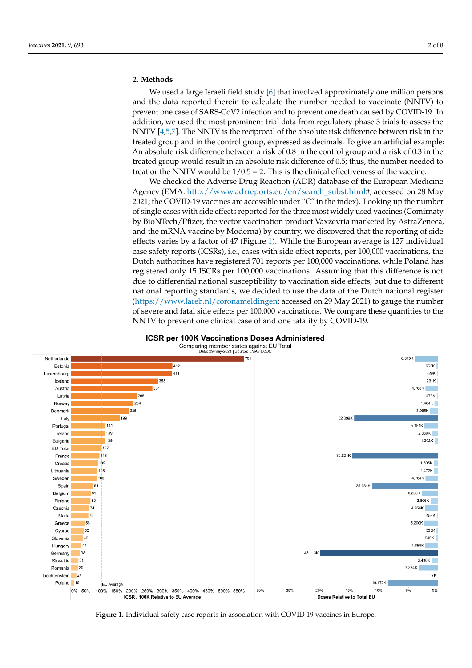## **2. Methods**

We used a large Israeli field study [\[6\]](#page-6-5) that involved approximately one million persons and the data reported therein to calculate the number needed to vaccinate (NNTV) to prevent one case of SARS-CoV2 infection and to prevent one death caused by COVID-19. In addition, we used the most prominent trial data from regulatory phase 3 trials to assess the NNTV [\[4](#page-6-3)[,5,](#page-6-4)[7\]](#page-6-6). The NNTV is the reciprocal of the absolute risk difference between risk in the treated group and in the control group, expressed as decimals. To give an artificial example: An absolute risk difference between a risk of 0.8 in the control group and a risk of 0.3 in the treated group would result in an absolute risk difference of 0.5; thus, the number needed to treat or the NNTV would be  $1/0.5 = 2$ . This is the clinical effectiveness of the vaccine.

We checked the Adverse Drug Reaction (ADR) database of the European Medicine Agency (EMA: [http://www.adrreports.eu/en/search\\_subst.html#](http://www.adrreports.eu/en/search_subst.html), accessed on 28 May 2021; the COVID-19 vaccines are accessible under "C" in the index). Looking up the number of single cases with side effects reported for the three most widely used vaccines (Comirnaty by BioNTech/Pfizer, the vector vaccination product Vaxzevria marketed by AstraZeneca, and the mRNA vaccine by Moderna) by country, we discovered that the reporting of side effects varies by a factor of 47 (Figure [1\)](#page-1-0). While the European average is 127 individual case safety reports (ICSRs), i.e., cases with side effect reports, per 100,000 vaccinations, the Dutch authorities have registered 701 reports per 100,000 vaccinations, while Poland has registered only 15 ISCRs per 100,000 vaccinations. Assuming that this difference is not due to differential national susceptibility to vaccination side effects, but due to different national reporting standards, we decided to use the data of the Dutch national register [\(https://www.lareb.nl/coronameldingen;](https://www.lareb.nl/coronameldingen) accessed on 29 May 2021) to gauge the number of severe and fatal side effects per 100,000 vaccinations. We compare these quantities to the NNTV to prevent one clinical case of and one fatality by COVID-19.



<span id="page-1-0"></span>

**Figure 1.** Individual safety case reports in association with COVID 19 vaccines in Europe.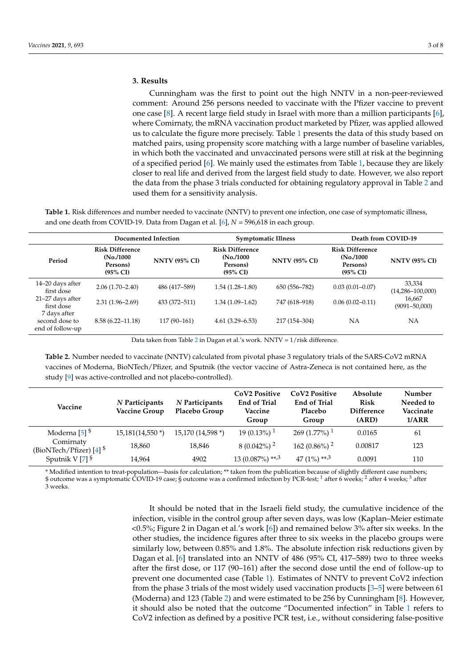## **3. Results**

Cunningham was the first to point out the high NNTV in a non-peer-reviewed comment: Around 256 persons needed to vaccinate with the Pfizer vaccine to prevent one case [\[8\]](#page-6-7). A recent large field study in Israel with more than a million participants [\[6\]](#page-6-5), where Comirnaty, the mRNA vaccination product marketed by Pfizer, was applied allowed us to calculate the figure more precisely. Table [1](#page-2-0) presents the data of this study based on matched pairs, using propensity score matching with a large number of baseline variables, in which both the vaccinated and unvaccinated persons were still at risk at the beginning of a specified period [\[6\]](#page-6-5). We mainly used the estimates from Table [1,](#page-2-0) because they are likely closer to real life and derived from the largest field study to date. However, we also report the data from the phase 3 trials conducted for obtaining regulatory approval in Table [2](#page-2-1) and used them for a sensitivity analysis.

<span id="page-2-0"></span>**Table 1.** Risk differences and number needed to vaccinate (NNTV) to prevent one infection, one case of symptomatic illness, and one death from COVID-19. Data from Dagan et al. [\[6\]](#page-6-5), *N* = 596,618 in each group.

|                                                    | Documented Infection                                                      |                      |                                                                           | <b>Symptomatic Illness</b> | Death from COVID-19                                                       |                                |
|----------------------------------------------------|---------------------------------------------------------------------------|----------------------|---------------------------------------------------------------------------|----------------------------|---------------------------------------------------------------------------|--------------------------------|
| Period                                             | <b>Risk Difference</b><br>(No. / 1000)<br>Persons)<br>$(95\% \text{ CI})$ | <b>NNTV (95% CI)</b> | <b>Risk Difference</b><br>(No. / 1000)<br>Persons)<br>$(95\% \text{ CI})$ | <b>NNTV (95% CI)</b>       | <b>Risk Difference</b><br>(No. / 1000)<br>Persons)<br>$(95\% \text{ CI})$ | <b>NNTV (95% CI)</b>           |
| 14–20 days after<br>first dose                     | $2.06(1.70 - 2.40)$                                                       | 486 (417-589)        | $1.54(1.28 - 1.80)$                                                       | 650 (556-782)              | $0.03(0.01 - 0.07)$                                                       | 33,334<br>$(14,286 - 100,000)$ |
| 21-27 days after<br>first dose                     | $2.31(1.96 - 2.69)$                                                       | 433 (372-511)        | $1.34(1.09-1.62)$                                                         | 747 (618-918)              | $0.06(0.02 - 0.11)$                                                       | 16,667<br>$(9091 - 50,000)$    |
| 7 days after<br>second dose to<br>end of follow-up | $8.58(6.22 - 11.18)$                                                      | $117(90-161)$        | $4.61(3.29 - 6.53)$                                                       | 217 (154-304)              | <b>NA</b>                                                                 | <b>NA</b>                      |

Data taken from Table [2](#page-2-1) in Dagan et al.'s work. NNTV = 1/risk difference.

<span id="page-2-1"></span>**Table 2.** Number needed to vaccinate (NNTV) calculated from pivotal phase 3 regulatory trials of the SARS-CoV2 mRNA vaccines of Moderna, BioNTech/Pfizer, and Sputnik (the vector vaccine of Astra-Zeneca is not contained here, as the study [\[9\]](#page-6-8) was active-controlled and not placebo-controlled).

| Vaccine                                            | N Participants<br><b>Vaccine Group</b> | N Participants<br>Placebo Group | <b>CoV<sub>2</sub></b> Positive<br><b>End of Trial</b><br>Vaccine<br>Group | CoV <sub>2</sub> Positive<br><b>End of Trial</b><br>Placebo<br>Group | Absolute<br><b>Risk</b><br><b>Difference</b><br>(ARD) | Number<br>Needed to<br>Vaccinate<br>1/ARR |
|----------------------------------------------------|----------------------------------------|---------------------------------|----------------------------------------------------------------------------|----------------------------------------------------------------------|-------------------------------------------------------|-------------------------------------------|
| Moderna $[5]$ <sup>\$</sup>                        | $15,181(14,550*)$                      | 15,170 (14,598 *)               | $19(0.13\%)$ <sup>1</sup>                                                  | 269 (1.77%) <sup>1</sup>                                             | 0.0165                                                | 61                                        |
| Comirnaty<br>(BioNTech/Pfizer) $[4]$ <sup>\$</sup> | 18,860                                 | 18,846                          | $8(0.042\%)$ <sup>2</sup>                                                  | 162 (0.86%) $^2$                                                     | 0.00817                                               | 123                                       |
| Sputnik V $[7]$ <sup>§</sup>                       | 14,964                                 | 4902                            | 13 $(0.087\%)$ **, <sup>3</sup>                                            | 47 $(1\%)$ **, 3                                                     | 0.0091                                                | 110                                       |

\* Modified intention to treat-population—basis for calculation; \*\* taken from the publication because of slightly different case numbers; \$ outcome was a symptomatic COVID-19 case; § outcome was a confirmed infection by PCR-test; <sup>1</sup> after 6 weeks; <sup>2</sup> after 4 weeks; <sup>3</sup> after 3 weeks.

> It should be noted that in the Israeli field study, the cumulative incidence of the infection, visible in the control group after seven days, was low (Kaplan–Meier estimate <0.5%; Figure 2 in Dagan et al.'s work [\[6\]](#page-6-5)) and remained below 3% after six weeks. In the other studies, the incidence figures after three to six weeks in the placebo groups were similarly low, between 0.85% and 1.8%. The absolute infection risk reductions given by Dagan et al. [\[6\]](#page-6-5) translated into an NNTV of 486 (95% CI, 417–589) two to three weeks after the first dose, or 117 (90–161) after the second dose until the end of follow-up to prevent one documented case (Table [1\)](#page-2-0). Estimates of NNTV to prevent CoV2 infection from the phase 3 trials of the most widely used vaccination products [\[3](#page-6-2)[–5\]](#page-6-4) were between 61 (Moderna) and 123 (Table [2\)](#page-2-1) and were estimated to be 256 by Cunningham [\[8\]](#page-6-7). However, it should also be noted that the outcome "Documented infection" in Table [1](#page-2-0) refers to CoV2 infection as defined by a positive PCR test, i.e., without considering false-positive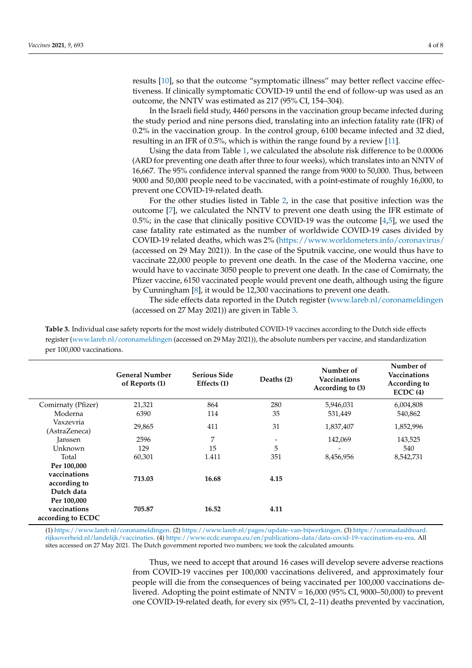results [\[10\]](#page-6-9), so that the outcome "symptomatic illness" may better reflect vaccine effectiveness. If clinically symptomatic COVID-19 until the end of follow-up was used as an outcome, the NNTV was estimated as 217 (95% CI, 154–304).

In the Israeli field study, 4460 persons in the vaccination group became infected during the study period and nine persons died, translating into an infection fatality rate (IFR) of 0.2% in the vaccination group. In the control group, 6100 became infected and 32 died, resulting in an IFR of 0.5%, which is within the range found by a review [\[11\]](#page-6-10).

Using the data from Table [1,](#page-2-0) we calculated the absolute risk difference to be 0.00006 (ARD for preventing one death after three to four weeks), which translates into an NNTV of 16,667. The 95% confidence interval spanned the range from 9000 to 50,000. Thus, between 9000 and 50,000 people need to be vaccinated, with a point-estimate of roughly 16,000, to prevent one COVID-19-related death.

For the other studies listed in Table [2,](#page-2-1) in the case that positive infection was the outcome [\[7\]](#page-6-6), we calculated the NNTV to prevent one death using the IFR estimate of  $0.5\%$ ; in the case that clinically positive COVID-19 was the outcome [\[4](#page-6-3)[,5\]](#page-6-4), we used the case fatality rate estimated as the number of worldwide COVID-19 cases divided by COVID-19 related deaths, which was 2% [\(https://www.worldometers.info/coronavirus/](https://www.worldometers.info/coronavirus/) (accessed on 29 May 2021)). In the case of the Sputnik vaccine, one would thus have to vaccinate 22,000 people to prevent one death. In the case of the Moderna vaccine, one would have to vaccinate 3050 people to prevent one death. In the case of Comirnaty, the Pfizer vaccine, 6150 vaccinated people would prevent one death, although using the figure by Cunningham [\[8\]](#page-6-7), it would be 12,300 vaccinations to prevent one death.

The side effects data reported in the Dutch register [\(www.lareb.nl/coronameldingen](www.lareb.nl/coronameldingen) (accessed on 27 May 2021)) are given in Table [3.](#page-3-0)

<span id="page-3-0"></span>**Table 3.** Individual case safety reports for the most widely distributed COVID-19 vaccines according to the Dutch side effects register [\(www.lareb.nl/coronameldingen](www.lareb.nl/coronameldingen) (accessed on 29 May 2021)), the absolute numbers per vaccine, and standardization per 100,000 vaccinations.

|                                                                | <b>General Number</b><br>of Reports (1) | <b>Serious Side</b><br>Effects (1) | Deaths (2) | Number of<br>Vaccinations<br>According to (3) | Number of<br>Vaccinations<br>According to<br>ECDC(4) |
|----------------------------------------------------------------|-----------------------------------------|------------------------------------|------------|-----------------------------------------------|------------------------------------------------------|
| Comirnaty (Pfizer)                                             | 21,321                                  | 864                                | 280        | 5,946,031                                     | 6,004,808                                            |
| Moderna                                                        | 6390                                    | 114                                | 35         | 531,449                                       | 540,862                                              |
| Vaxzevria<br>(AstraZeneca)                                     | 29,865                                  | 411                                | 31         | 1,837,407                                     | 1,852,996                                            |
| Janssen                                                        | 2596                                    | 7                                  |            | 142,069                                       | 143,525                                              |
| Unknown                                                        | 129                                     | 15                                 | 5          |                                               | 540                                                  |
| Total                                                          | 60,301                                  | 1.411                              | 351        | 8,456,956                                     | 8,542,731                                            |
| Per 100,000<br>vaccinations<br>according to                    | 713.03                                  | 16.68                              | 4.15       |                                               |                                                      |
| Dutch data<br>Per 100,000<br>vaccinations<br>according to ECDC | 705.87                                  | 16.52                              | 4.11       |                                               |                                                      |

(1) [https://www.lareb.nl/coronameldingen.](https://www.lareb.nl/coronameldingen) (2) [https://www.lareb.nl/pages/update-van-bijwerkingen.](https://www.lareb.nl/pages/update-van-bijwerkingen) (3) [https://coronadashboard.](https://coronadashboard.rijksoverheid.nl/landelijk/vaccinaties) [rijksoverheid.nl/landelijk/vaccinaties.](https://coronadashboard.rijksoverheid.nl/landelijk/vaccinaties) (4) [https://www.ecdc.europa.eu/en/publications-data/data-covid-19-vaccination-eu-eea.](https://www.ecdc.europa.eu/en/publications-data/data-covid-19-vaccination-eu-eea) All sites accessed on 27 May 2021. The Dutch government reported two numbers; we took the calculated amounts.

> Thus, we need to accept that around 16 cases will develop severe adverse reactions from COVID-19 vaccines per 100,000 vaccinations delivered, and approximately four people will die from the consequences of being vaccinated per 100,000 vaccinations delivered. Adopting the point estimate of NNTV = 16,000 (95% CI, 9000–50,000) to prevent one COVID-19-related death, for every six (95% CI, 2–11) deaths prevented by vaccination,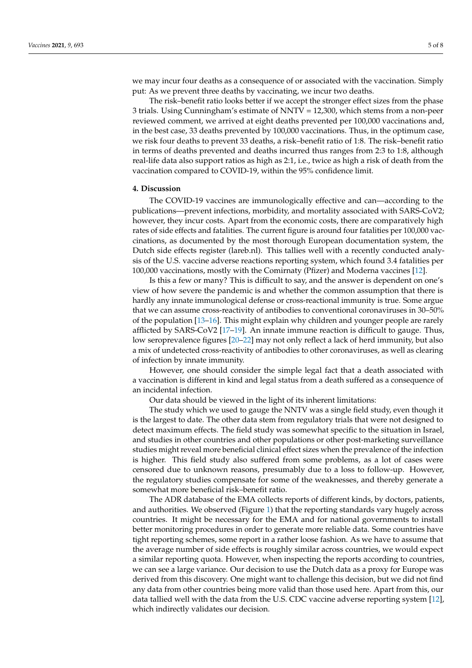we may incur four deaths as a consequence of or associated with the vaccination. Simply put: As we prevent three deaths by vaccinating, we incur two deaths.

The risk–benefit ratio looks better if we accept the stronger effect sizes from the phase 3 trials. Using Cunningham's estimate of NNTV = 12,300, which stems from a non-peer reviewed comment, we arrived at eight deaths prevented per 100,000 vaccinations and, in the best case, 33 deaths prevented by 100,000 vaccinations. Thus, in the optimum case, we risk four deaths to prevent 33 deaths, a risk–benefit ratio of 1:8. The risk–benefit ratio in terms of deaths prevented and deaths incurred thus ranges from 2:3 to 1:8, although real-life data also support ratios as high as 2:1, i.e., twice as high a risk of death from the vaccination compared to COVID-19, within the 95% confidence limit.

#### **4. Discussion**

The COVID-19 vaccines are immunologically effective and can—according to the publications—prevent infections, morbidity, and mortality associated with SARS-CoV2; however, they incur costs. Apart from the economic costs, there are comparatively high rates of side effects and fatalities. The current figure is around four fatalities per 100,000 vaccinations, as documented by the most thorough European documentation system, the Dutch side effects register (lareb.nl). This tallies well with a recently conducted analysis of the U.S. vaccine adverse reactions reporting system, which found 3.4 fatalities per 100,000 vaccinations, mostly with the Comirnaty (Pfizer) and Moderna vaccines [\[12\]](#page-6-11).

Is this a few or many? This is difficult to say, and the answer is dependent on one's view of how severe the pandemic is and whether the common assumption that there is hardly any innate immunological defense or cross-reactional immunity is true. Some argue that we can assume cross-reactivity of antibodies to conventional coronaviruses in 30–50% of the population [\[13–](#page-6-12)[16\]](#page-6-13). This might explain why children and younger people are rarely afflicted by SARS-CoV2 [\[17](#page-6-14)[–19\]](#page-7-0). An innate immune reaction is difficult to gauge. Thus, low seroprevalence figures [\[20–](#page-7-1)[22\]](#page-7-2) may not only reflect a lack of herd immunity, but also a mix of undetected cross-reactivity of antibodies to other coronaviruses, as well as clearing of infection by innate immunity.

However, one should consider the simple legal fact that a death associated with a vaccination is different in kind and legal status from a death suffered as a consequence of an incidental infection.

Our data should be viewed in the light of its inherent limitations:

The study which we used to gauge the NNTV was a single field study, even though it is the largest to date. The other data stem from regulatory trials that were not designed to detect maximum effects. The field study was somewhat specific to the situation in Israel, and studies in other countries and other populations or other post-marketing surveillance studies might reveal more beneficial clinical effect sizes when the prevalence of the infection is higher. This field study also suffered from some problems, as a lot of cases were censored due to unknown reasons, presumably due to a loss to follow-up. However, the regulatory studies compensate for some of the weaknesses, and thereby generate a somewhat more beneficial risk–benefit ratio.

The ADR database of the EMA collects reports of different kinds, by doctors, patients, and authorities. We observed (Figure [1\)](#page-1-0) that the reporting standards vary hugely across countries. It might be necessary for the EMA and for national governments to install better monitoring procedures in order to generate more reliable data. Some countries have tight reporting schemes, some report in a rather loose fashion. As we have to assume that the average number of side effects is roughly similar across countries, we would expect a similar reporting quota. However, when inspecting the reports according to countries, we can see a large variance. Our decision to use the Dutch data as a proxy for Europe was derived from this discovery. One might want to challenge this decision, but we did not find any data from other countries being more valid than those used here. Apart from this, our data tallied well with the data from the U.S. CDC vaccine adverse reporting system [\[12\]](#page-6-11), which indirectly validates our decision.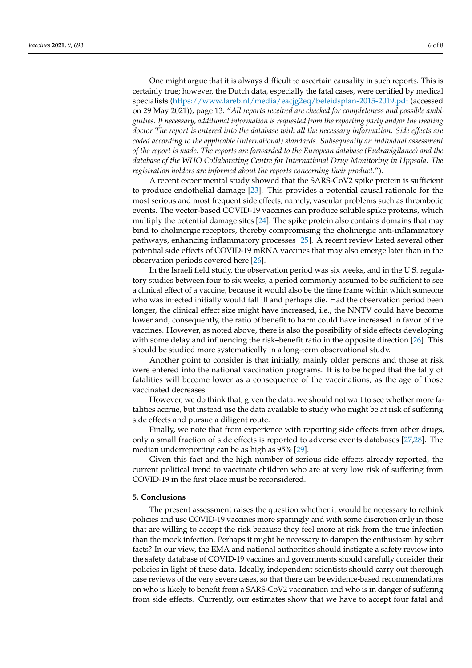One might argue that it is always difficult to ascertain causality in such reports. This is certainly true; however, the Dutch data, especially the fatal cases, were certified by medical specialists [\(https://www.lareb.nl/media/eacjg2eq/beleidsplan-2015-2019.pdf](https://www.lareb.nl/media/eacjg2eq/beleidsplan-2015-2019.pdf) (accessed on 29 May 2021)), page 13: "*All reports received are checked for completeness and possible ambiguities. If necessary, additional information is requested from the reporting party and/or the treating doctor The report is entered into the database with all the necessary information. Side effects are coded according to the applicable (international) standards. Subsequently an individual assessment of the report is made. The reports are forwarded to the European database (Eudravigilance) and the database of the WHO Collaborating Centre for International Drug Monitoring in Uppsala. The registration holders are informed about the reports concerning their product*.").

A recent experimental study showed that the SARS-CoV2 spike protein is sufficient to produce endothelial damage [\[23\]](#page-7-3). This provides a potential causal rationale for the most serious and most frequent side effects, namely, vascular problems such as thrombotic events. The vector-based COVID-19 vaccines can produce soluble spike proteins, which multiply the potential damage sites [\[24\]](#page-7-4). The spike protein also contains domains that may bind to cholinergic receptors, thereby compromising the cholinergic anti-inflammatory pathways, enhancing inflammatory processes [\[25\]](#page-7-5). A recent review listed several other potential side effects of COVID-19 mRNA vaccines that may also emerge later than in the observation periods covered here [\[26\]](#page-7-6).

In the Israeli field study, the observation period was six weeks, and in the U.S. regulatory studies between four to six weeks, a period commonly assumed to be sufficient to see a clinical effect of a vaccine, because it would also be the time frame within which someone who was infected initially would fall ill and perhaps die. Had the observation period been longer, the clinical effect size might have increased, i.e., the NNTV could have become lower and, consequently, the ratio of benefit to harm could have increased in favor of the vaccines. However, as noted above, there is also the possibility of side effects developing with some delay and influencing the risk–benefit ratio in the opposite direction [\[26\]](#page-7-6). This should be studied more systematically in a long-term observational study.

Another point to consider is that initially, mainly older persons and those at risk were entered into the national vaccination programs. It is to be hoped that the tally of fatalities will become lower as a consequence of the vaccinations, as the age of those vaccinated decreases.

However, we do think that, given the data, we should not wait to see whether more fatalities accrue, but instead use the data available to study who might be at risk of suffering side effects and pursue a diligent route.

Finally, we note that from experience with reporting side effects from other drugs, only a small fraction of side effects is reported to adverse events databases [\[27](#page-7-7)[,28\]](#page-7-8). The median underreporting can be as high as 95% [\[29\]](#page-7-9).

Given this fact and the high number of serious side effects already reported, the current political trend to vaccinate children who are at very low risk of suffering from COVID-19 in the first place must be reconsidered.

#### **5. Conclusions**

The present assessment raises the question whether it would be necessary to rethink policies and use COVID-19 vaccines more sparingly and with some discretion only in those that are willing to accept the risk because they feel more at risk from the true infection than the mock infection. Perhaps it might be necessary to dampen the enthusiasm by sober facts? In our view, the EMA and national authorities should instigate a safety review into the safety database of COVID-19 vaccines and governments should carefully consider their policies in light of these data. Ideally, independent scientists should carry out thorough case reviews of the very severe cases, so that there can be evidence-based recommendations on who is likely to benefit from a SARS-CoV2 vaccination and who is in danger of suffering from side effects. Currently, our estimates show that we have to accept four fatal and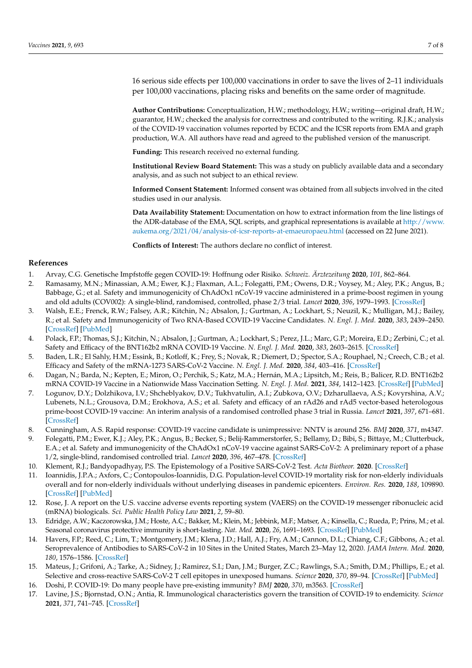16 serious side effects per 100,000 vaccinations in order to save the lives of 2–11 individuals per 100,000 vaccinations, placing risks and benefits on the same order of magnitude.

**Author Contributions:** Conceptualization, H.W.; methodology, H.W.; writing—original draft, H.W.; guarantor, H.W.; checked the analysis for correctness and contributed to the writing. R.J.K.; analysis of the COVID-19 vaccination volumes reported by ECDC and the ICSR reports from EMA and graph production, W.A. All authors have read and agreed to the published version of the manuscript.

**Funding:** This research received no external funding.

**Institutional Review Board Statement:** This was a study on publicly available data and a secondary analysis, and as such not subject to an ethical review.

**Informed Consent Statement:** Informed consent was obtained from all subjects involved in the cited studies used in our analysis.

**Data Availability Statement:** Documentation on how to extract information from the line listings of the ADR-database of the EMA, SQL scripts, and graphical representations is available at [http://www.](http://www.aukema.org/2021/04/analysis-of-icsr-reports-at-emaeuropaeu.html) [aukema.org/2021/04/analysis-of-icsr-reports-at-emaeuropaeu.html](http://www.aukema.org/2021/04/analysis-of-icsr-reports-at-emaeuropaeu.html) (accessed on 22 June 2021).

**Conflicts of Interest:** The authors declare no conflict of interest.

## **References**

- <span id="page-6-0"></span>1. Arvay, C.G. Genetische Impfstoffe gegen COVID-19: Hoffnung oder Risiko. *Schweiz. Ärztezeitung* **2020**, *101*, 862–864.
- <span id="page-6-1"></span>2. Ramasamy, M.N.; Minassian, A.M.; Ewer, K.J.; Flaxman, A.L.; Folegatti, P.M.; Owens, D.R.; Voysey, M.; Aley, P.K.; Angus, B.; Babbage, G.; et al. Safety and immunogenicity of ChAdOx1 nCoV-19 vaccine administered in a prime-boost regimen in young and old adults (COV002): A single-blind, randomised, controlled, phase 2/3 trial. *Lancet* **2020**, *396*, 1979–1993. [\[CrossRef\]](http://doi.org/10.1016/S0140-6736(20)32466-1)
- <span id="page-6-2"></span>3. Walsh, E.E.; Frenck, R.W.; Falsey, A.R.; Kitchin, N.; Absalon, J.; Gurtman, A.; Lockhart, S.; Neuzil, K.; Mulligan, M.J.; Bailey, R.; et al. Safety and Immunogenicity of Two RNA-Based COVID-19 Vaccine Candidates. *N. Engl. J. Med.* **2020**, *383*, 2439–2450. [\[CrossRef\]](http://doi.org/10.1056/NEJMoa2027906) [\[PubMed\]](http://www.ncbi.nlm.nih.gov/pubmed/33053279)
- <span id="page-6-3"></span>4. Polack, F.P.; Thomas, S.J.; Kitchin, N.; Absalon, J.; Gurtman, A.; Lockhart, S.; Perez, J.L.; Marc, G.P.; Moreira, E.D.; Zerbini, C.; et al. Safety and Efficacy of the BNT162b2 mRNA COVID-19 Vaccine. *N. Engl. J. Med.* **2020**, *383*, 2603–2615. [\[CrossRef\]](http://doi.org/10.1056/NEJMoa2034577)
- <span id="page-6-4"></span>5. Baden, L.R.; El Sahly, H.M.; Essink, B.; Kotloff, K.; Frey, S.; Novak, R.; Diemert, D.; Spector, S.A.; Rouphael, N.; Creech, C.B.; et al. Efficacy and Safety of the mRNA-1273 SARS-CoV-2 Vaccine. *N. Engl. J. Med.* **2020**, *384*, 403–416. [\[CrossRef\]](http://doi.org/10.1056/NEJMoa2035389)
- <span id="page-6-5"></span>6. Dagan, N.; Barda, N.; Kepten, E.; Miron, O.; Perchik, S.; Katz, M.A.; Hernán, M.A.; Lipsitch, M.; Reis, B.; Balicer, R.D. BNT162b2 mRNA COVID-19 Vaccine in a Nationwide Mass Vaccination Setting. *N. Engl. J. Med.* **2021**, *384*, 1412–1423. [\[CrossRef\]](http://doi.org/10.1056/NEJMoa2101765) [\[PubMed\]](http://www.ncbi.nlm.nih.gov/pubmed/33626250)
- <span id="page-6-6"></span>7. Logunov, D.Y.; Dolzhikova, I.V.; Shcheblyakov, D.V.; Tukhvatulin, A.I.; Zubkova, O.V.; Dzharullaeva, A.S.; Kovyrshina, A.V.; Lubenets, N.L.; Grousova, D.M.; Erokhova, A.S.; et al. Safety and efficacy of an rAd26 and rAd5 vector-based heterologous prime-boost COVID-19 vaccine: An interim analysis of a randomised controlled phase 3 trial in Russia. *Lancet* **2021**, *397*, 671–681. [\[CrossRef\]](http://doi.org/10.1016/S0140-6736(21)00234-8)
- <span id="page-6-7"></span>8. Cunningham, A.S. Rapid response: COVID-19 vaccine candidate is unimpressive: NNTV is around 256. *BMJ* **2020**, *371*, m4347.
- <span id="page-6-8"></span>9. Folegatti, P.M.; Ewer, K.J.; Aley, P.K.; Angus, B.; Becker, S.; Belij-Rammerstorfer, S.; Bellamy, D.; Bibi, S.; Bittaye, M.; Clutterbuck, E.A.; et al. Safety and immunogenicity of the ChAdOx1 nCoV-19 vaccine against SARS-CoV-2: A preliminary report of a phase 1/2, single-blind, randomised controlled trial. *Lancet* **2020**, *396*, 467–478. [\[CrossRef\]](http://doi.org/10.1016/S0140-6736(20)31604-4)
- <span id="page-6-9"></span>10. Klement, R.J.; Bandyopadhyay, P.S. The Epistemology of a Positive SARS-CoV-2 Test. *Acta Biotheor.* **2020**. [\[CrossRef\]](http://doi.org/10.1007/s10441-020-09393-w)
- <span id="page-6-10"></span>11. Ioannidis, J.P.A.; Axfors, C.; Contopoulos-Ioannidis, D.G. Population-level COVID-19 mortality risk for non-elderly individuals overall and for non-elderly individuals without underlying diseases in pandemic epicenters. *Environ. Res.* **2020**, *188*, 109890. [\[CrossRef\]](http://doi.org/10.1016/j.envres.2020.109890) [\[PubMed\]](http://www.ncbi.nlm.nih.gov/pubmed/32846654)
- <span id="page-6-11"></span>12. Rose, J. A report on the U.S. vaccine adverse events reporting system (VAERS) on the COVID-19 messenger ribonucleic acid (mRNA) biologicals. *Sci. Public Health Policy Law* **2021**, *2*, 59–80.
- <span id="page-6-12"></span>13. Edridge, A.W.; Kaczorowska, J.M.; Hoste, A.C.; Bakker, M.; Klein, M.; Jebbink, M.F.; Matser, A.; Kinsella, C.; Rueda, P.; Prins, M.; et al. Seasonal coronavirus protective immunity is short-lasting. *Nat. Med.* **2020**, *26*, 1691–1693. [\[CrossRef\]](http://doi.org/10.1038/s41591-020-1083-1) [\[PubMed\]](http://www.ncbi.nlm.nih.gov/pubmed/32929268)
- 14. Havers, F.P.; Reed, C.; Lim, T.; Montgomery, J.M.; Klena, J.D.; Hall, A.J.; Fry, A.M.; Cannon, D.L.; Chiang, C.F.; Gibbons, A.; et al. Seroprevalence of Antibodies to SARS-CoV-2 in 10 Sites in the United States, March 23–May 12, 2020. *JAMA Intern. Med.* **2020**, *180*, 1576–1586. [\[CrossRef\]](http://doi.org/10.1001/jamainternmed.2020.4130)
- 15. Mateus, J.; Grifoni, A.; Tarke, A.; Sidney, J.; Ramirez, S.I.; Dan, J.M.; Burger, Z.C.; Rawlings, S.A.; Smith, D.M.; Phillips, E.; et al. Selective and cross-reactive SARS-CoV-2 T cell epitopes in unexposed humans. *Science* **2020**, *370*, 89–94. [\[CrossRef\]](http://doi.org/10.1126/science.abd3871) [\[PubMed\]](http://www.ncbi.nlm.nih.gov/pubmed/32753554)
- <span id="page-6-13"></span>16. Doshi, P. COVID-19: Do many people have pre-existing immunity? *BMJ* **2020**, *370*, m3563. [\[CrossRef\]](http://doi.org/10.1136/bmj.m3563)
- <span id="page-6-14"></span>17. Lavine, J.S.; Bjornstad, O.N.; Antia, R. Immunological characteristics govern the transition of COVID-19 to endemicity. *Science* **2021**, *371*, 741–745. [\[CrossRef\]](http://doi.org/10.1126/science.abe6522)